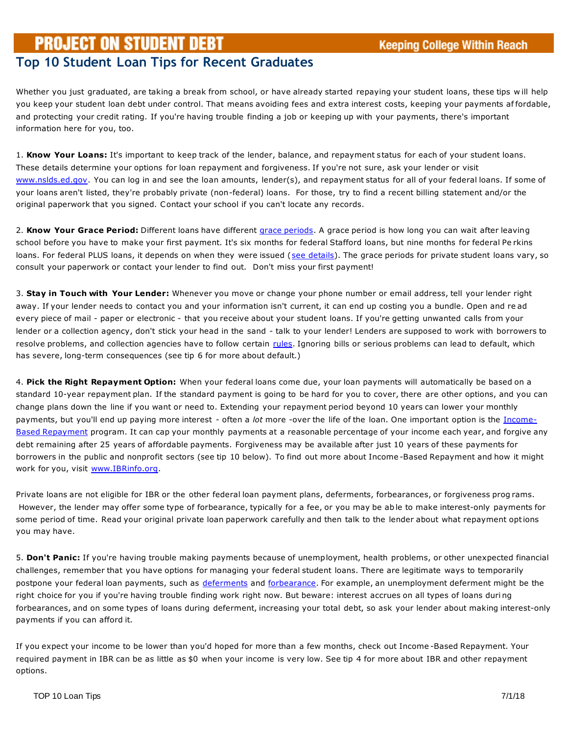## **PROJECT ON STUDENT DEBT**

## **Top 10 Student Loan Tips for Recent Graduates**

Whether you just graduated, are taking a break from school, or have already started repaying your student loans, these tips w ill help you keep your student loan debt under control. That means avoiding fees and extra interest costs, keeping your payments af fordable, and protecting your credit rating. If you're having trouble finding a job or keeping up with your payments, there's important information here for you, too.

1. **Know Your Loans:** It's important to keep track of the lender, balance, and repayment status for each of your student loans. These details determine your options for loan repayment and forgiveness. If you're not sure, ask your lender or visit [www.nslds.ed.gov.](http://www.nslds.ed.gov/) You can log in and see the loan amounts, lender(s), and repayment status for all of your federal loans. If some of your loans aren't listed, they're probably private (non-federal) loans. For those, try to find a recent billing statement and/or the original paperwork that you signed. Contact your school if you can't locate any records.

2. **Know Your Grace Period:** Different loans have different [grace periods.](http://projectonstudentdebt.org/glossary.vp.html) A grace period is how long you can wait after leaving school before you have to make your first payment. It's six months for federal Stafford loans, but nine months for federal Pe rkins loans. For federal PLUS loans, it depends on when they were issued [\(see details\)](http://studentaid.ed.gov/PORTALSWebApp/students/english/repaying.jsp). The grace periods for private student loans vary, so consult your paperwork or contact your lender to find out. Don't miss your first payment!

3. **Stay in Touch with Your Lender:** Whenever you move or change your phone number or email address, tell your lender right away. If your lender needs to contact you and your information isn't current, it can end up costing you a bundle. Open and re ad every piece of mail - paper or electronic - that you receive about your student loans. If you're getting unwanted calls from your lender or a collection agency, don't stick your head in the sand - talk to your lender! Lenders are supposed to work with borrowers to resolve problems, and collection agencies have to follow certain [rules.](http://www.studentloanborrowerassistance.org/collections/collection-agencies/) Ignoring bills or serious problems can lead to default, which has severe, long-term consequences (see tip 6 for more about default.)

4. **Pick the Right Repayment Option:** When your federal loans come due, your loan payments will automatically be based on a standard 10-year repayment plan. If the standard payment is going to be hard for you to cover, there are other options, and you can change plans down the line if you want or need to. Extending your repayment period beyond 10 years can lower your monthly payments, but you'll end up paying more interest - often a *lot* more -over the life of the loan. One important option is the [Income-](http://ibrinfo.org/)[Based Repayment](http://ibrinfo.org/) program. It can cap your monthly payments at a reasonable percentage of your income each year, and forgive any debt remaining after 25 years of affordable payments. Forgiveness may be available after just 10 years of these payments for borrowers in the public and nonprofit sectors (see tip 10 below). To find out more about Income -Based Repayment and how it might work for you, visit [www.IBRinfo.org.](http://ibrinfo.org/)

Private loans are not eligible for IBR or the other federal loan payment plans, deferments, forbearances, or forgiveness prog rams. However, the lender may offer some type of forbearance, typically for a fee, or you may be able to make interest-only payments for some period of time. Read your original private loan paperwork carefully and then talk to the lender about what repayment options you may have.

5. **Don't Panic:** If you're having trouble making payments because of unemployment, health problems, or other unexpected financial challenges, remember that you have options for managing your federal student loans. There are legitimate ways to temporarily postpone your federal loan payments, such as [deferments](http://www.studentloanborrowerassistance.org/repayment/no-prepayment-penalties/deferments/) and [forbearance.](http://www.studentloanborrowerassistance.org/repayment/no-prepayment-penalties/forbearances/) For example, an unemployment deferment might be the right choice for you if you're having trouble finding work right now. But beware: interest accrues on all types of loans duri ng forbearances, and on some types of loans during deferment, increasing your total debt, so ask your lender about making interest-only payments if you can afford it.

If you expect your income to be lower than you'd hoped for more than a few months, check out Income -Based Repayment. Your required payment in IBR can be as little as \$0 when your income is very low. See tip 4 for more about IBR and other repayment options.